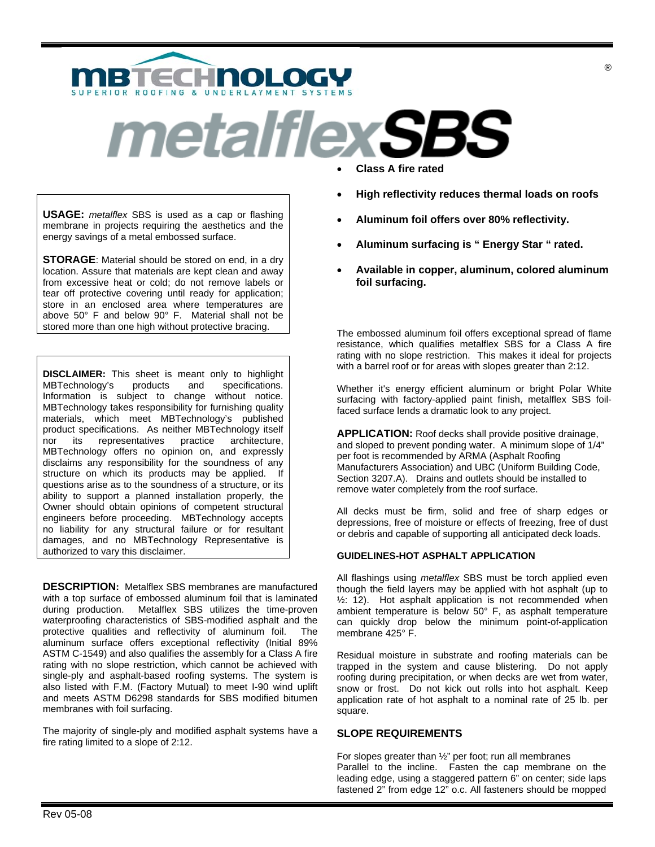

# *metalflexSBS*

**USAGE:** *metalflex* SBS is used as a cap or flashing membrane in projects requiring the aesthetics and the energy savings of a metal embossed surface.

**STORAGE**: Material should be stored on end, in a dry location. Assure that materials are kept clean and away from excessive heat or cold; do not remove labels or tear off protective covering until ready for application; store in an enclosed area where temperatures are above 50° F and below 90° F. Material shall not be stored more than one high without protective bracing.

**DISCLAIMER:** This sheet is meant only to highlight MBTechnology's products and specifications. MBTechnology's products and specifications. Information is subject to change without notice. MBTechnology takes responsibility for furnishing quality materials, which meet MBTechnology's published product specifications. As neither MBTechnology itself nor its representatives practice architecture, MBTechnology offers no opinion on, and expressly disclaims any responsibility for the soundness of any structure on which its products may be applied. If questions arise as to the soundness of a structure, or its ability to support a planned installation properly, the Owner should obtain opinions of competent structural engineers before proceeding. MBTechnology accepts no liability for any structural failure or for resultant damages, and no MBTechnology Representative is authorized to vary this disclaimer.

**DESCRIPTION:** Metalflex SBS membranes are manufactured with a top surface of embossed aluminum foil that is laminated during production. Metalflex SBS utilizes the time-proven waterproofing characteristics of SBS-modified asphalt and the protective qualities and reflectivity of aluminum foil. The aluminum surface offers exceptional reflectivity (Initial 89% ASTM C-1549) and also qualifies the assembly for a Class A fire rating with no slope restriction, which cannot be achieved with single-ply and asphalt-based roofing systems. The system is also listed with F.M. (Factory Mutual) to meet I-90 wind uplift and meets ASTM D6298 standards for SBS modified bitumen membranes with foil surfacing.

The majority of single-ply and modified asphalt systems have a fire rating limited to a slope of 2:12.

- **Class A fire rated**
- **High reflectivity reduces thermal loads on roofs**
- **Aluminum foil offers over 80% reflectivity.**
- **Aluminum surfacing is " Energy Star " rated.**
- **Available in copper, aluminum, colored aluminum foil surfacing.**

The embossed aluminum foil offers exceptional spread of flame resistance, which qualifies metalflex SBS for a Class A fire rating with no slope restriction. This makes it ideal for projects with a barrel roof or for areas with slopes greater than 2:12.

Whether it's energy efficient aluminum or bright Polar White surfacing with factory-applied paint finish, metalflex SBS foilfaced surface lends a dramatic look to any project.

**APPLICATION:** Roof decks shall provide positive drainage, and sloped to prevent ponding water. A minimum slope of 1/4" per foot is recommended by ARMA (Asphalt Roofing Manufacturers Association) and UBC (Uniform Building Code, Section 3207.A). Drains and outlets should be installed to remove water completely from the roof surface.

All decks must be firm, solid and free of sharp edges or depressions, free of moisture or effects of freezing, free of dust or debris and capable of supporting all anticipated deck loads.

# **GUIDELINES-HOT ASPHALT APPLICATION**

All flashings using *metalflex* SBS must be torch applied even though the field layers may be applied with hot asphalt (up to ½: 12). Hot asphalt application is not recommended when ambient temperature is below 50° F, as asphalt temperature can quickly drop below the minimum point-of-application membrane 425° F.

Residual moisture in substrate and roofing materials can be trapped in the system and cause blistering. Do not apply roofing during precipitation, or when decks are wet from water, snow or frost. Do not kick out rolls into hot asphalt. Keep application rate of hot asphalt to a nominal rate of 25 lb. per square.

# **SLOPE REQUIREMENTS**

For slopes greater than ½" per foot; run all membranes Parallel to the incline. Fasten the cap membrane on the leading edge, using a staggered pattern 6" on center; side laps fastened 2" from edge 12" o.c. All fasteners should be mopped